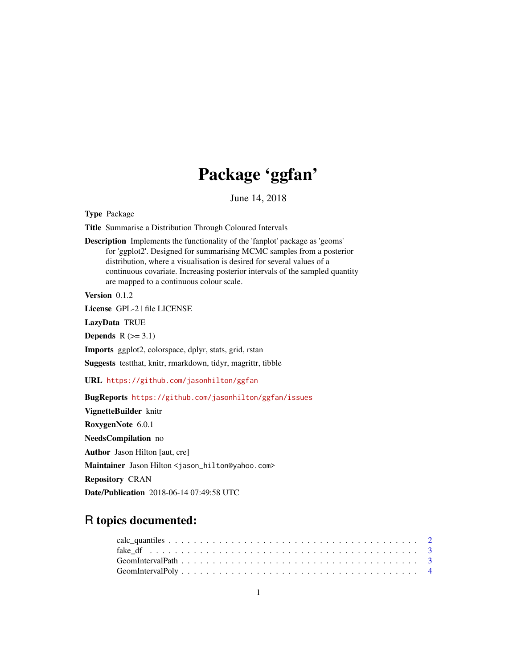## Package 'ggfan'

June 14, 2018

<span id="page-0-0"></span>Type Package

Title Summarise a Distribution Through Coloured Intervals

Description Implements the functionality of the 'fanplot' package as 'geoms' for 'ggplot2'. Designed for summarising MCMC samples from a posterior distribution, where a visualisation is desired for several values of a continuous covariate. Increasing posterior intervals of the sampled quantity are mapped to a continuous colour scale.

Version 0.1.2

License GPL-2 | file LICENSE

LazyData TRUE

**Depends**  $R$  ( $>= 3.1$ )

Imports ggplot2, colorspace, dplyr, stats, grid, rstan

Suggests testthat, knitr, rmarkdown, tidyr, magrittr, tibble

URL <https://github.com/jasonhilton/ggfan>

BugReports <https://github.com/jasonhilton/ggfan/issues>

VignetteBuilder knitr RoxygenNote 6.0.1 NeedsCompilation no Author Jason Hilton [aut, cre] Maintainer Jason Hilton <jason\_hilton@yahoo.com> Repository CRAN Date/Publication 2018-06-14 07:49:58 UTC

## R topics documented: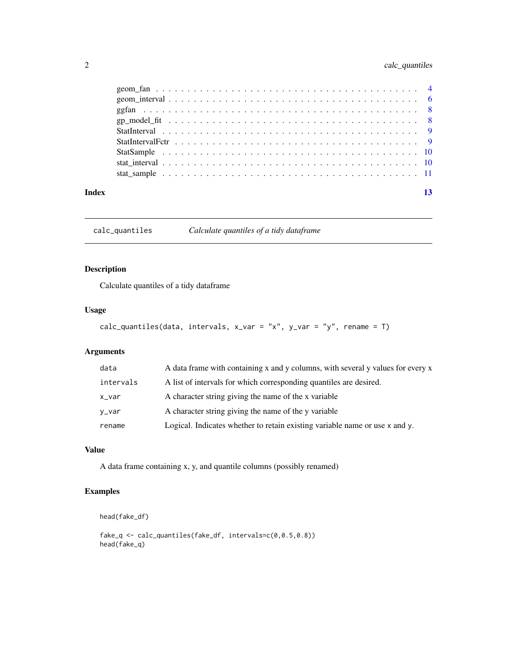### <span id="page-1-0"></span>2 calc\_quantiles

<span id="page-1-1"></span>calc\_quantiles *Calculate quantiles of a tidy dataframe*

#### Description

Calculate quantiles of a tidy dataframe

### Usage

```
calc_quantiles(data, intervals, x_var = "x", y_var = "y", rename = T)
```
#### Arguments

| data      | A data frame with containing x and y columns, with several y values for every x |
|-----------|---------------------------------------------------------------------------------|
| intervals | A list of intervals for which corresponding quantiles are desired.              |
| x_var     | A character string giving the name of the x variable                            |
| y_var     | A character string giving the name of the y variable                            |
| rename    | Logical. Indicates whether to retain existing variable name or use x and y.     |

#### Value

A data frame containing x, y, and quantile columns (possibly renamed)

#### Examples

```
head(fake_df)
```

```
fake_q <- calc_quantiles(fake_df, intervals=c(0,0.5,0.8))
head(fake_q)
```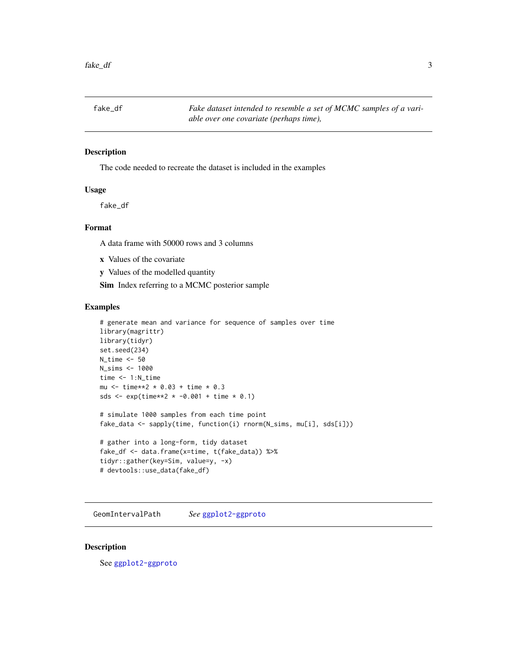<span id="page-2-0"></span>

#### Description

The code needed to recreate the dataset is included in the examples

#### Usage

fake\_df

#### Format

A data frame with 50000 rows and 3 columns

- x Values of the covariate
- y Values of the modelled quantity

Sim Index referring to a MCMC posterior sample

#### Examples

```
# generate mean and variance for sequence of samples over time
library(magrittr)
library(tidyr)
set.seed(234)
N_time <- 50
N_sims <- 1000
time <- 1:N_time
mu <- time**2 * 0.03 + time * 0.3
sds <- exp(time**2 * -0.001 + time * 0.1)# simulate 1000 samples from each time point
fake_data <- sapply(time, function(i) rnorm(N_sims, mu[i], sds[i]))
# gather into a long-form, tidy dataset
fake_df <- data.frame(x=time, t(fake_data)) %>%
tidyr::gather(key=Sim, value=y, -x)
# devtools::use_data(fake_df)
```
GeomIntervalPath *See* [ggplot2-ggproto](#page-0-0)

#### Description

See [ggplot2-ggproto](#page-0-0)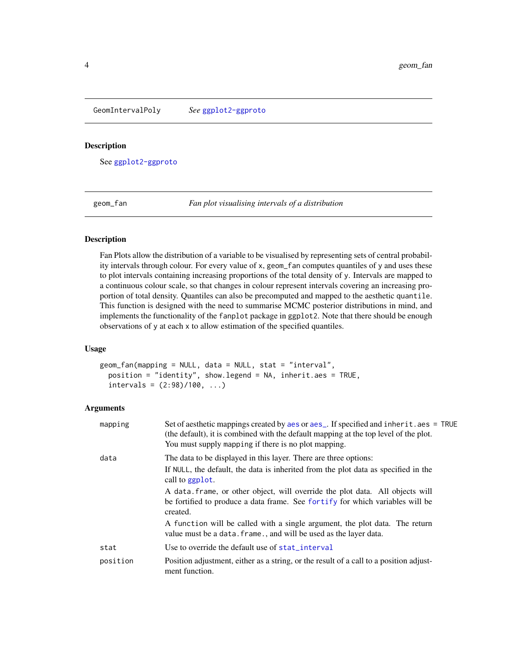<span id="page-3-0"></span>GeomIntervalPoly *See* [ggplot2-ggproto](#page-0-0)

#### Description

See [ggplot2-ggproto](#page-0-0)

<span id="page-3-1"></span>geom\_fan *Fan plot visualising intervals of a distribution*

#### Description

Fan Plots allow the distribution of a variable to be visualised by representing sets of central probability intervals through colour. For every value of x, geom\_fan computes quantiles of y and uses these to plot intervals containing increasing proportions of the total density of y. Intervals are mapped to a continuous colour scale, so that changes in colour represent intervals covering an increasing proportion of total density. Quantiles can also be precomputed and mapped to the aesthetic quantile. This function is designed with the need to summarise MCMC posterior distributions in mind, and implements the functionality of the fanplot package in ggplot2. Note that there should be enough observations of y at each x to allow estimation of the specified quantiles.

#### Usage

geom\_fan(mapping = NULL, data = NULL, stat = "interval", position = "identity", show.legend = NA, inherit.aes = TRUE,  $intervals = (2:98)/100, ...)$ 

| mapping  | Set of aesthetic mappings created by aes or aes_. If specified and inherit.aes = TRUE<br>(the default), it is combined with the default mapping at the top level of the plot.<br>You must supply mapping if there is no plot mapping. |
|----------|---------------------------------------------------------------------------------------------------------------------------------------------------------------------------------------------------------------------------------------|
| data     | The data to be displayed in this layer. There are three options:<br>If NULL, the default, the data is inherited from the plot data as specified in the<br>call to ggplot.                                                             |
|          | A data frame, or other object, will override the plot data. All objects will<br>be fortified to produce a data frame. See fortify for which variables will be<br>created.                                                             |
|          | A function will be called with a single argument, the plot data. The return<br>value must be a data. frame., and will be used as the layer data.                                                                                      |
| stat     | Use to override the default use of stat_interval                                                                                                                                                                                      |
| position | Position adjustment, either as a string, or the result of a call to a position adjust-<br>ment function.                                                                                                                              |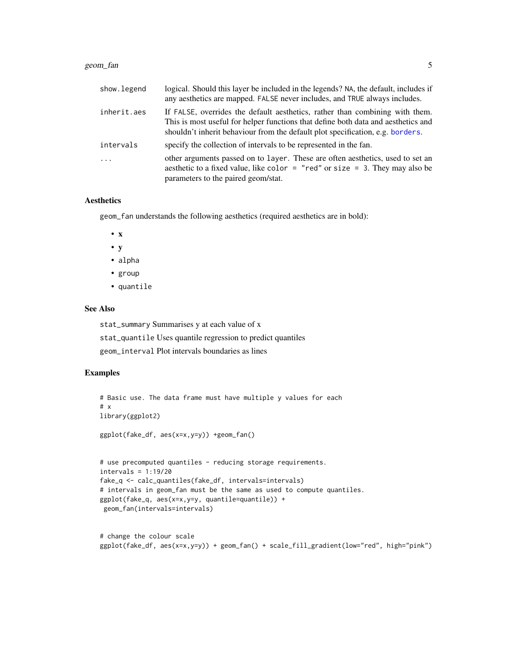#### <span id="page-4-0"></span>geom\_fan 55 September 2008 - 1999 - 1999 - 1999 - 1999 - 1999 - 1999 - 1999 - 1999 - 1999 - 1999 - 1999 - 1999 - 1999 - 1999 - 1999 - 1999 - 1999 - 1999 - 1999 - 1999 - 1999 - 1999 - 1999 - 1999 - 1999 - 1999 - 1999 - 1999

| show.legend | logical. Should this layer be included in the legends? NA, the default, includes if<br>any aesthetics are mapped. FALSE never includes, and TRUE always includes.                                                                                   |
|-------------|-----------------------------------------------------------------------------------------------------------------------------------------------------------------------------------------------------------------------------------------------------|
| inherit.aes | If FALSE, overrides the default aesthetics, rather than combining with them.<br>This is most useful for helper functions that define both data and aesthetics and<br>shouldn't inherit behaviour from the default plot specification, e.g. borders. |
| intervals   | specify the collection of intervals to be represented in the fan.                                                                                                                                                                                   |
| $\ddots$    | other arguments passed on to layer. These are often aesthetics, used to set an<br>aesthetic to a fixed value, like color = "red" or size = 3. They may also be<br>parameters to the paired geom/stat.                                               |

#### **Aesthetics**

geom\_fan understands the following aesthetics (required aesthetics are in bold):

- x
- y
- alpha
- group
- quantile

#### See Also

stat\_summary Summarises y at each value of x

stat\_quantile Uses quantile regression to predict quantiles

geom\_interval Plot intervals boundaries as lines

#### Examples

```
# Basic use. The data frame must have multiple y values for each
# x
library(ggplot2)
ggplot(fake_df, aes(x=x,y=y)) +geom_fan()
# use precomputed quantiles - reducing storage requirements.
intervals = 1:19/20
fake_q <- calc_quantiles(fake_df, intervals=intervals)
# intervals in geom_fan must be the same as used to compute quantiles.
ggplot(fake_q, aes(x=x,y=y, quantile=quantile)) +
geom_fan(intervals=intervals)
```

```
# change the colour scale
ggplot(fake_df, aes(x=x,y=y)) + geom_fan() + scale_fill_gradient(low="red", high="pink")
```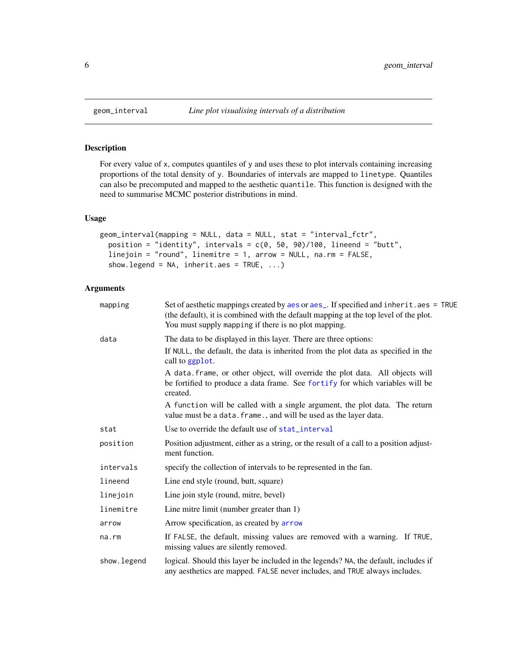<span id="page-5-1"></span><span id="page-5-0"></span>

#### Description

For every value of x, computes quantiles of y and uses these to plot intervals containing increasing proportions of the total density of y. Boundaries of intervals are mapped to linetype. Quantiles can also be precomputed and mapped to the aesthetic quantile. This function is designed with the need to summarise MCMC posterior distributions in mind.

#### Usage

```
geom_interval(mapping = NULL, data = NULL, stat = "interval_fctr",
 position = "identity", intervals = c(0, 50, 90)/100, lineend = "butt",
  linejoin = "round", linemitre = 1, arrow = NULL, na.rm = FALSE,
  show.legend = NA, inherit.aes = TRUE, ...)
```

| mapping     | Set of aesthetic mappings created by aes or aes_. If specified and inherit.aes = TRUE<br>(the default), it is combined with the default mapping at the top level of the plot.<br>You must supply mapping if there is no plot mapping. |
|-------------|---------------------------------------------------------------------------------------------------------------------------------------------------------------------------------------------------------------------------------------|
| data        | The data to be displayed in this layer. There are three options:                                                                                                                                                                      |
|             | If NULL, the default, the data is inherited from the plot data as specified in the<br>call to ggplot.                                                                                                                                 |
|             | A data frame, or other object, will override the plot data. All objects will<br>be fortified to produce a data frame. See fortify for which variables will be<br>created.                                                             |
|             | A function will be called with a single argument, the plot data. The return<br>value must be a data. frame., and will be used as the layer data.                                                                                      |
| stat        | Use to override the default use of stat_interval                                                                                                                                                                                      |
| position    | Position adjustment, either as a string, or the result of a call to a position adjust-<br>ment function.                                                                                                                              |
| intervals   | specify the collection of intervals to be represented in the fan.                                                                                                                                                                     |
| lineend     | Line end style (round, butt, square)                                                                                                                                                                                                  |
| linejoin    | Line join style (round, mitre, bevel)                                                                                                                                                                                                 |
| linemitre   | Line mitre limit (number greater than 1)                                                                                                                                                                                              |
| arrow       | Arrow specification, as created by <b>arrow</b>                                                                                                                                                                                       |
| na.rm       | If FALSE, the default, missing values are removed with a warning. If TRUE,<br>missing values are silently removed.                                                                                                                    |
| show.legend | logical. Should this layer be included in the legends? NA, the default, includes if<br>any aesthetics are mapped. FALSE never includes, and TRUE always includes.                                                                     |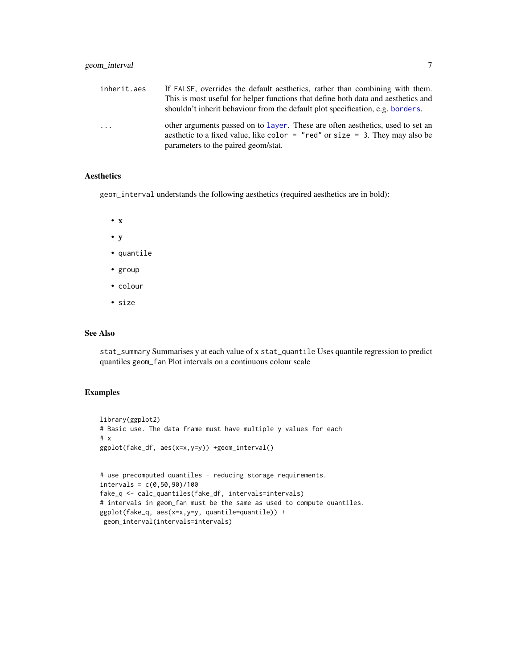<span id="page-6-0"></span>

| inherit.aes | If FALSE, overrides the default aesthetics, rather than combining with them.<br>This is most useful for helper functions that define both data and aesthetics and<br>shouldn't inherit behaviour from the default plot specification, e.g. borders. |
|-------------|-----------------------------------------------------------------------------------------------------------------------------------------------------------------------------------------------------------------------------------------------------|
| $\ddots$    | other arguments passed on to layer. These are often aesthetics, used to set an<br>aesthetic to a fixed value, like color $=$ "red" or size $=$ 3. They may also be<br>parameters to the paired geom/stat.                                           |

#### Aesthetics

geom\_interval understands the following aesthetics (required aesthetics are in bold):

- x
- y
- quantile
- group
- colour
- size

#### See Also

stat\_summary Summarises y at each value of x stat\_quantile Uses quantile regression to predict quantiles geom\_fan Plot intervals on a continuous colour scale

#### Examples

```
library(ggplot2)
# Basic use. The data frame must have multiple y values for each
# x
ggplot(fake_df, aes(x=x,y=y)) +geom_interval()
# use precomputed quantiles - reducing storage requirements.
intervals = c(0, 50, 90)/100fake_q <- calc_quantiles(fake_df, intervals=intervals)
# intervals in geom_fan must be the same as used to compute quantiles.
ggplot(fake_q, aes(x=x,y=y, quantile=quantile)) +geom_interval(intervals=intervals)
```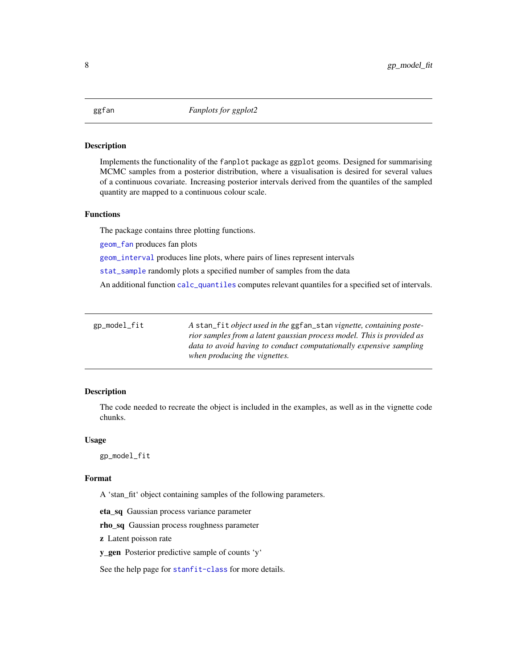#### <span id="page-7-0"></span>Description

Implements the functionality of the fanplot package as ggplot geoms. Designed for summarising MCMC samples from a posterior distribution, where a visualisation is desired for several values of a continuous covariate. Increasing posterior intervals derived from the quantiles of the sampled quantity are mapped to a continuous colour scale.

#### Functions

The package contains three plotting functions.

[geom\\_fan](#page-3-1) produces fan plots

[geom\\_interval](#page-5-1) produces line plots, where pairs of lines represent intervals

[stat\\_sample](#page-10-1) randomly plots a specified number of samples from the data

An additional function [calc\\_quantiles](#page-1-1) computes relevant quantiles for a specified set of intervals.

| gp_model_fit | A stan_fit <i>object used in the ggfan_stan vignette, containing poste-</i> |
|--------------|-----------------------------------------------------------------------------|
|              | rior samples from a latent gaussian process model. This is provided as      |
|              | data to avoid having to conduct computationally expensive sampling          |
|              | when producing the vignettes.                                               |
|              |                                                                             |

#### Description

The code needed to recreate the object is included in the examples, as well as in the vignette code chunks.

#### Usage

gp\_model\_fit

#### Format

A 'stan\_fit' object containing samples of the following parameters.

eta\_sq Gaussian process variance parameter

rho\_sq Gaussian process roughness parameter

z Latent poisson rate

y\_gen Posterior predictive sample of counts 'y'

See the help page for [stanfit-class](#page-0-0) for more details.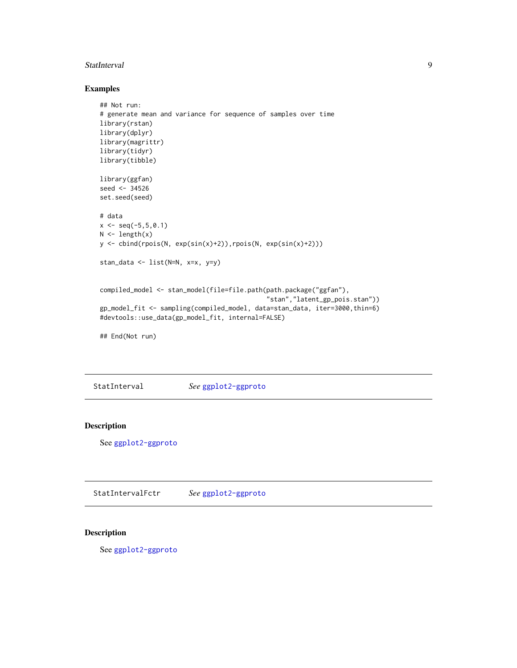#### <span id="page-8-0"></span>StatInterval 9

#### Examples

```
## Not run:
# generate mean and variance for sequence of samples over time
library(rstan)
library(dplyr)
library(magrittr)
library(tidyr)
library(tibble)
library(ggfan)
seed <- 34526
set.seed(seed)
# data
x \leq -\text{seq}(-5, 5, 0.1)N \leftarrow length(x)y <- cbind(rpois(N, exp(sin(x)+2)),rpois(N, exp(sin(x)+2)))
stan_data <- list(N=N, x=x, y=y)
compiled_model <- stan_model(file=file.path(path.package("ggfan"),
                                              "stan","latent_gp_pois.stan"))
gp_model_fit <- sampling(compiled_model, data=stan_data, iter=3000,thin=6)
#devtools::use_data(gp_model_fit, internal=FALSE)
## End(Not run)
```
StatInterval *See* [ggplot2-ggproto](#page-0-0)

#### Description

See [ggplot2-ggproto](#page-0-0)

StatIntervalFctr *See* [ggplot2-ggproto](#page-0-0)

#### Description

See [ggplot2-ggproto](#page-0-0)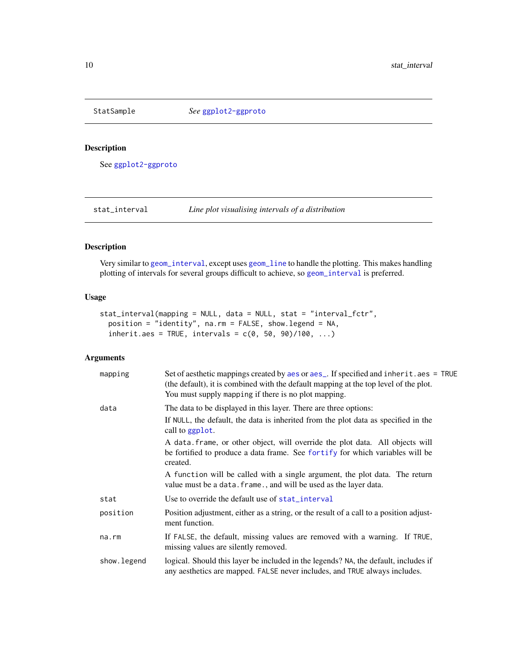<span id="page-9-0"></span>StatSample *See* [ggplot2-ggproto](#page-0-0)

### Description

See [ggplot2-ggproto](#page-0-0)

<span id="page-9-1"></span>stat\_interval *Line plot visualising intervals of a distribution*

#### Description

Very similar to [geom\\_interval](#page-5-1), except uses [geom\\_line](#page-0-0) to handle the plotting. This makes handling plotting of intervals for several groups difficult to achieve, so [geom\\_interval](#page-5-1) is preferred.

#### Usage

```
stat_interval(mapping = NULL, data = NULL, stat = "interval_fctr",
 position = "identity", na.rm = FALSE, show.legend = NA,
 inherit.aes = TRUE, intervals = c(0, 50, 90)/100, ...)
```

| mapping     | Set of aesthetic mappings created by aes or aes_. If specified and inherit.aes = TRUE<br>(the default), it is combined with the default mapping at the top level of the plot.<br>You must supply mapping if there is no plot mapping. |  |  |  |  |  |  |  |
|-------------|---------------------------------------------------------------------------------------------------------------------------------------------------------------------------------------------------------------------------------------|--|--|--|--|--|--|--|
| data        | The data to be displayed in this layer. There are three options:                                                                                                                                                                      |  |  |  |  |  |  |  |
|             | If NULL, the default, the data is inherited from the plot data as specified in the<br>call to ggplot.                                                                                                                                 |  |  |  |  |  |  |  |
|             | A data frame, or other object, will override the plot data. All objects will<br>be fortified to produce a data frame. See fortify for which variables will be<br>created.                                                             |  |  |  |  |  |  |  |
|             | A function will be called with a single argument, the plot data. The return<br>value must be a data. frame., and will be used as the layer data.                                                                                      |  |  |  |  |  |  |  |
| stat        | Use to override the default use of stat_interval                                                                                                                                                                                      |  |  |  |  |  |  |  |
| position    | Position adjustment, either as a string, or the result of a call to a position adjust-<br>ment function.                                                                                                                              |  |  |  |  |  |  |  |
| na.rm       | If FALSE, the default, missing values are removed with a warning. If TRUE,<br>missing values are silently removed.                                                                                                                    |  |  |  |  |  |  |  |
| show.legend | logical. Should this layer be included in the legends? NA, the default, includes if<br>any aesthetics are mapped. FALSE never includes, and TRUE always includes.                                                                     |  |  |  |  |  |  |  |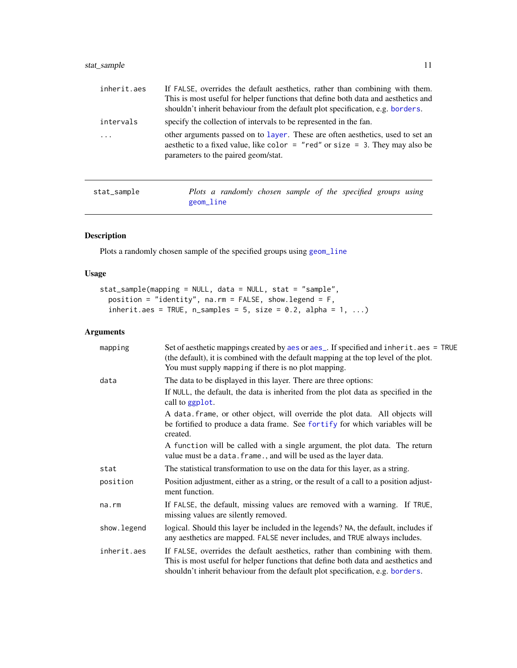#### <span id="page-10-0"></span>stat\_sample 11

| inherit.aes | If FALSE, overrides the default aesthetics, rather than combining with them.<br>This is most useful for helper functions that define both data and aesthetics and<br>shouldn't inherit behaviour from the default plot specification, e.g. borders. |
|-------------|-----------------------------------------------------------------------------------------------------------------------------------------------------------------------------------------------------------------------------------------------------|
| intervals   | specify the collection of intervals to be represented in the fan.                                                                                                                                                                                   |
|             | other arguments passed on to layer. These are often aesthetics, used to set an<br>aesthetic to a fixed value, like color $=$ "red" or size $=$ 3. They may also be<br>parameters to the paired geom/stat.                                           |
|             |                                                                                                                                                                                                                                                     |

<span id="page-10-1"></span>stat\_sample *Plots a randomly chosen sample of the specified groups using* [geom\\_line](#page-0-0)

#### Description

Plots a randomly chosen sample of the specified groups using [geom\\_line](#page-0-0)

### Usage

```
stat_sample(mapping = NULL, data = NULL, stat = "sample",
 position = "identity", na.rm = FALSE, show.legend = F,
  inherit.aes = TRUE, n_samples = 5, size = 0.2, alpha = 1, ...)
```

| mapping     | Set of aesthetic mappings created by aes or aes_. If specified and inherit.aes = TRUE<br>(the default), it is combined with the default mapping at the top level of the plot.<br>You must supply mapping if there is no plot mapping.               |
|-------------|-----------------------------------------------------------------------------------------------------------------------------------------------------------------------------------------------------------------------------------------------------|
| data        | The data to be displayed in this layer. There are three options:                                                                                                                                                                                    |
|             | If NULL, the default, the data is inherited from the plot data as specified in the<br>call to ggplot.                                                                                                                                               |
|             | A data frame, or other object, will override the plot data. All objects will<br>be fortified to produce a data frame. See fortify for which variables will be<br>created.                                                                           |
|             | A function will be called with a single argument, the plot data. The return<br>value must be a data. frame., and will be used as the layer data.                                                                                                    |
| stat        | The statistical transformation to use on the data for this layer, as a string.                                                                                                                                                                      |
| position    | Position adjustment, either as a string, or the result of a call to a position adjust-<br>ment function.                                                                                                                                            |
| na.rm       | If FALSE, the default, missing values are removed with a warning. If TRUE,<br>missing values are silently removed.                                                                                                                                  |
| show.legend | logical. Should this layer be included in the legends? NA, the default, includes if<br>any aesthetics are mapped. FALSE never includes, and TRUE always includes.                                                                                   |
| inherit.aes | If FALSE, overrides the default aesthetics, rather than combining with them.<br>This is most useful for helper functions that define both data and aesthetics and<br>shouldn't inherit behaviour from the default plot specification, e.g. borders. |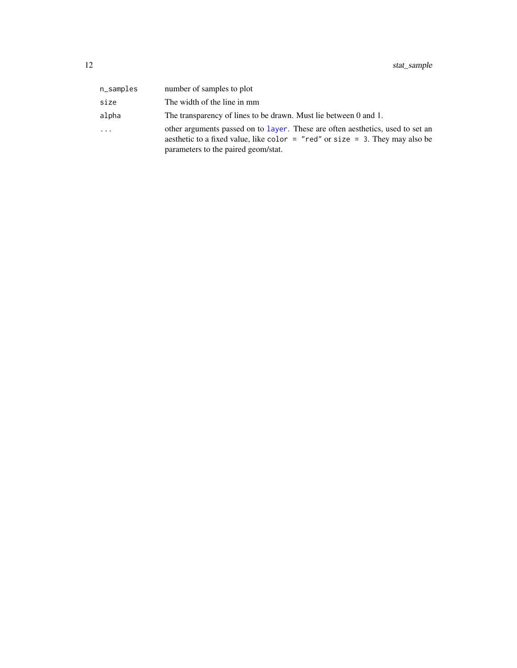<span id="page-11-0"></span>

| n_samples | number of samples to plot                                                                                                                                                                                 |
|-----------|-----------------------------------------------------------------------------------------------------------------------------------------------------------------------------------------------------------|
| size      | The width of the line in mm                                                                                                                                                                               |
| alpha     | The transparency of lines to be drawn. Must lie between 0 and 1.                                                                                                                                          |
| .         | other arguments passed on to layer. These are often aesthetics, used to set an<br>aesthetic to a fixed value, like color $=$ "red" or size $=$ 3. They may also be<br>parameters to the paired geom/stat. |